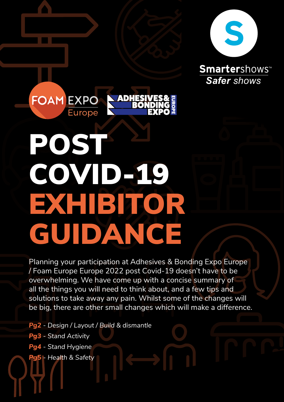

**Smarter**shows<sup>®</sup> *Safer shows*

# POST COVID-19 EXHIBITOR GUIDANCE

**ADHE** 

**FOAM EXPO** 

**Europe** 

Planning your participation at Adhesives & Bonding Expo Europe / Foam Europe Europe 2022 post Covid-19 doesn't have to be overwhelming. We have come up with a concise summary of all the things you will need to think about, and a few tips and solutions to take away any pain. Whilst some of the changes will be big, there are other small changes which will make a difference.

*Pg2 - Design / Layout / Build & dismantle Pg3 - Stand Activity Pg4 - Stand Hygiene Pg5 - Health & Safety*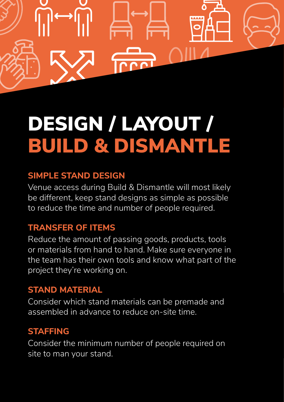

## DESIGN / LAYOUT / BUILD & DISMANTLE

### **SIMPLE STAND DESIGN**

Venue access during Build & Dismantle will most likely be different, keep stand designs as simple as possible to reduce the time and number of people required.

## **TRANSFER OF ITEMS**

Reduce the amount of passing goods, products, tools or materials from hand to hand. Make sure everyone in the team has their own tools and know what part of the project they're working on.

## **STAND MATERIAL**

Consider which stand materials can be premade and assembled in advance to reduce on-site time.

### **STAFFING**

Consider the minimum number of people required on site to man your stand.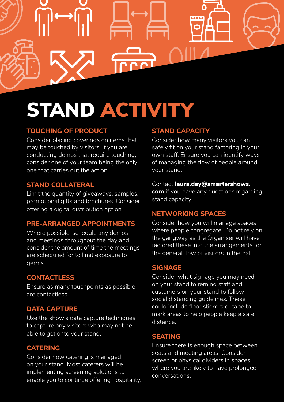

## STAND ACTIVITY

#### **TOUCHING OF PRODUCT**

Consider placing coverings on items that may be touched by visitors. If you are conducting demos that require touching, consider one of your team being the only one that carries out the action.

#### **STAND COLLATERAL**

Limit the quantity of giveaways, samples, promotional gifts and brochures. Consider offering a digital distribution option.

#### **PRE-ARRANGED APPOINTMENTS**

Where possible, schedule any demos and meetings throughout the day and consider the amount of time the meetings are scheduled for to limit exposure to germs.

#### **CONTACTLESS**

Ensure as many touchpoints as possible are contactless.

#### **DATA CAPTURE**

Use the show's data capture techniques to capture any visitors who may not be able to get onto your stand.

#### **CATERING**

Consider how catering is managed on your stand. Most caterers will be implementing screening solutions to enable you to continue offering hospitality.

#### **STAND CAPACITY**

Consider how many visitors you can safely fit on your stand factoring in your own staff. Ensure you can identify ways of managing the flow of people around your stand.

#### Contact **laura.day@smartershows.**

**com** if you have any questions regarding stand capacity.

#### **NETWORKING SPACES**

Consider how you will manage spaces where people congregate. Do not rely on the gangway as the Organiser will have factored these into the arrangements for the general flow of visitors in the hall.

#### **SIGNAGE**

Consider what signage you may need on your stand to remind staff and customers on your stand to follow social distancing guidelines. These could include floor stickers or tape to mark areas to help people keep a safe distance.

#### **SEATING**

Ensure there is enough space between seats and meeting areas. Consider screen or physical dividers in spaces where you are likely to have prolonged conversations.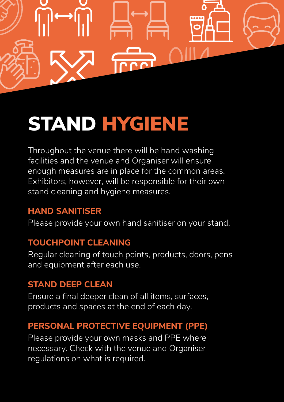

## STAND HYGIENE

Throughout the venue there will be hand washing facilities and the venue and Organiser will ensure enough measures are in place for the common areas. Exhibitors, however, will be responsible for their own stand cleaning and hygiene measures.

## **HAND SANITISER**

Please provide your own hand sanitiser on your stand.

### **TOUCHPOINT CLEANING**

Regular cleaning of touch points, products, doors, pens and equipment after each use.

### **STAND DEEP CLEAN**

Ensure a final deeper clean of all items, surfaces, products and spaces at the end of each day.

## **PERSONAL PROTECTIVE EQUIPMENT (PPE)**

Please provide your own masks and PPE where necessary. Check with the venue and Organiser regulations on what is required.